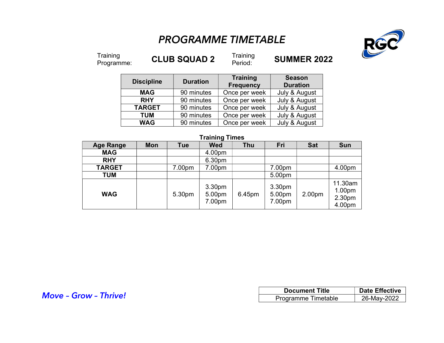# PROGRAMME TIMETABLE



Training<br>Programme:

**CLUB SQUAD 2** Training

**SUMMER 2022** 

| <b>Discipline</b> | <b>Duration</b> | <b>Training</b><br><b>Frequency</b> | <b>Season</b><br><b>Duration</b> |  |
|-------------------|-----------------|-------------------------------------|----------------------------------|--|
| <b>MAG</b>        | 90 minutes      | Once per week                       | July & August                    |  |
| <b>RHY</b>        | 90 minutes      | Once per week                       | July & August                    |  |
| <b>TARGET</b>     | 90 minutes      | Once per week                       | July & August                    |  |
| <b>TUM</b>        | 90 minutes      | Once per week                       | July & August                    |  |
| <b>WAG</b>        | 90 minutes      | Once per week                       | July & August                    |  |

### Training Times

| <b>Age Range</b> | Mon | <b>Tue</b> | <b>Wed</b>                 | <b>Thu</b> | Fri                        | <b>Sat</b> | <b>Sun</b>                            |
|------------------|-----|------------|----------------------------|------------|----------------------------|------------|---------------------------------------|
| <b>MAG</b>       |     |            | 4.00pm                     |            |                            |            |                                       |
| <b>RHY</b>       |     |            | 6.30pm                     |            |                            |            |                                       |
| <b>TARGET</b>    |     | 7.00pm     | 7.00pm                     |            | 7.00pm                     |            | 4.00pm                                |
| <b>TUM</b>       |     |            |                            |            | 5.00pm                     |            |                                       |
| <b>WAG</b>       |     | 5.30pm     | 3.30pm<br>5.00pm<br>7.00pm | 6.45pm     | 3.30pm<br>5.00pm<br>7.00pm | 2.00pm     | 11.30am<br>1.00pm<br>2.30pm<br>4.00pm |

|                              | <b>Document Title</b> | <b>Date Effective</b> |  |
|------------------------------|-----------------------|-----------------------|--|
| <b>Move - Grow - Thrive!</b> | Programme Timetable   | 26-May-2022           |  |